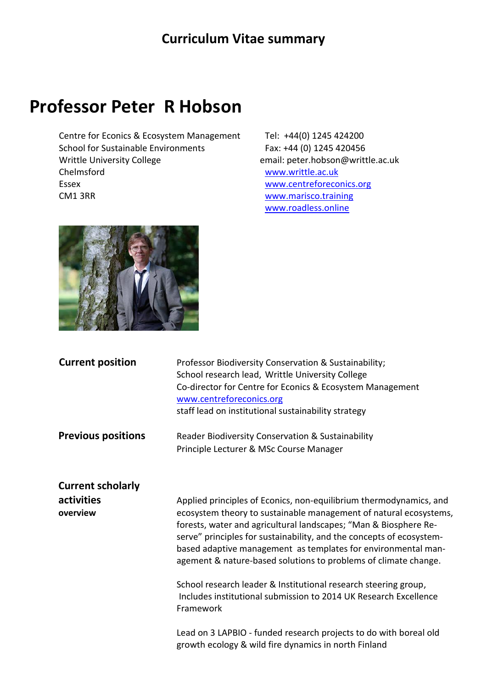## **Professor Peter R Hobson**

Centre for Econics & Ecosystem Management Tel: +44(0) 1245 424200 School for Sustainable Environments Fax: +44 (0) 1245 420456 Writtle University College email: peter.hobson@writtle.ac.uk Chelmsford [www.writtle.ac.uk](http://www.writtle.ac.uk/) Essex [www.centreforeconics.org](http://www.centreforeconics.org/) CM1 3RR [www.marisco.training](http://www.marisco.training/)

[www.roadless.online](http://www.roadless.online/)



| <b>Current position</b>   | Professor Biodiversity Conservation & Sustainability;<br>School research lead, Writtle University College<br>Co-director for Centre for Econics & Ecosystem Management<br>www.centreforeconics.org<br>staff lead on institutional sustainability strategy |
|---------------------------|-----------------------------------------------------------------------------------------------------------------------------------------------------------------------------------------------------------------------------------------------------------|
| <b>Previous positions</b> | Reader Biodiversity Conservation & Sustainability                                                                                                                                                                                                         |
|                           | Principle Lecturer & MSc Course Manager                                                                                                                                                                                                                   |
| <b>Current scholarly</b>  |                                                                                                                                                                                                                                                           |
| activities<br>overview    | Applied principles of Econics, non-equilibrium thermodynamics, and<br>ecosystem theory to sustainable management of natural ecosystems,                                                                                                                   |
|                           | forests, water and agricultural landscapes; "Man & Biosphere Re-                                                                                                                                                                                          |
|                           | serve" principles for sustainability, and the concepts of ecosystem-<br>based adaptive management as templates for environmental man-                                                                                                                     |
|                           | agement & nature-based solutions to problems of climate change.                                                                                                                                                                                           |
|                           | School research leader & Institutional research steering group,<br>Includes institutional submission to 2014 UK Research Excellence                                                                                                                       |
|                           | Framework                                                                                                                                                                                                                                                 |
|                           | Lead on 3 LAPBIO - funded research projects to do with boreal old                                                                                                                                                                                         |
|                           | growth ecology & wild fire dynamics in north Finland                                                                                                                                                                                                      |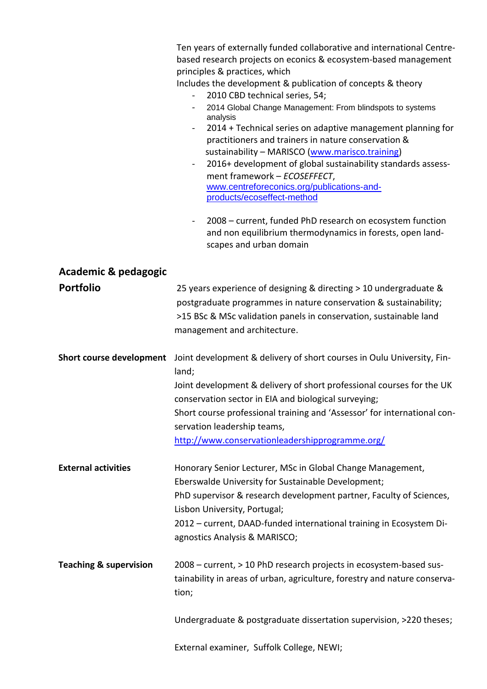|                                   | Ten years of externally funded collaborative and international Centre-<br>based research projects on econics & ecosystem-based management<br>principles & practices, which<br>Includes the development & publication of concepts & theory<br>2010 CBD technical series, 54;<br>2014 Global Change Management: From blindspots to systems<br>analysis<br>2014 + Technical series on adaptive management planning for<br>$\blacksquare$<br>practitioners and trainers in nature conservation &<br>sustainability - MARISCO (www.marisco.training)<br>2016+ development of global sustainability standards assess-<br>$\blacksquare$<br>ment framework - ECOSEFFECT,<br>www.centreforeconics.org/publications-and-<br>products/ecoseffect-method |
|-----------------------------------|-----------------------------------------------------------------------------------------------------------------------------------------------------------------------------------------------------------------------------------------------------------------------------------------------------------------------------------------------------------------------------------------------------------------------------------------------------------------------------------------------------------------------------------------------------------------------------------------------------------------------------------------------------------------------------------------------------------------------------------------------|
|                                   | 2008 – current, funded PhD research on ecosystem function<br>$\blacksquare$<br>and non equilibrium thermodynamics in forests, open land-<br>scapes and urban domain                                                                                                                                                                                                                                                                                                                                                                                                                                                                                                                                                                           |
| Academic & pedagogic              |                                                                                                                                                                                                                                                                                                                                                                                                                                                                                                                                                                                                                                                                                                                                               |
| <b>Portfolio</b>                  | 25 years experience of designing & directing > 10 undergraduate &<br>postgraduate programmes in nature conservation & sustainability;<br>>15 BSc & MSc validation panels in conservation, sustainable land<br>management and architecture.                                                                                                                                                                                                                                                                                                                                                                                                                                                                                                    |
| <b>Short course development</b>   | Joint development & delivery of short courses in Oulu University, Fin-                                                                                                                                                                                                                                                                                                                                                                                                                                                                                                                                                                                                                                                                        |
|                                   | land;<br>Joint development & delivery of short professional courses for the UK<br>conservation sector in EIA and biological surveying;<br>Short course professional training and 'Assessor' for international con-<br>servation leadership teams,<br>http://www.conservationleadershipprogramme.org/                                                                                                                                                                                                                                                                                                                                                                                                                                          |
| <b>External activities</b>        | Honorary Senior Lecturer, MSc in Global Change Management,<br>Eberswalde University for Sustainable Development;<br>PhD supervisor & research development partner, Faculty of Sciences,<br>Lisbon University, Portugal;<br>2012 – current, DAAD-funded international training in Ecosystem Di-<br>agnostics Analysis & MARISCO;                                                                                                                                                                                                                                                                                                                                                                                                               |
| <b>Teaching &amp; supervision</b> | 2008 – current, > 10 PhD research projects in ecosystem-based sus-<br>tainability in areas of urban, agriculture, forestry and nature conserva-<br>tion;                                                                                                                                                                                                                                                                                                                                                                                                                                                                                                                                                                                      |
|                                   | Undergraduate & postgraduate dissertation supervision, >220 theses;                                                                                                                                                                                                                                                                                                                                                                                                                                                                                                                                                                                                                                                                           |